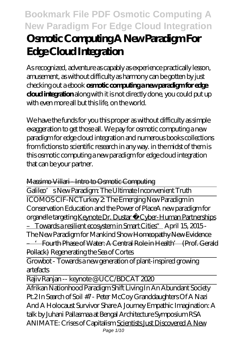# **Bookmark File PDF Osmotic Computing A New Paradigm For Edge Cloud Integration Osmotic Computing A New Paradigm For Edge Cloud Integration**

As recognized, adventure as capably as experience practically lesson, amusement, as without difficulty as harmony can be gotten by just checking out a ebook **osmotic computing a new paradigm for edge cloud integration** along with it is not directly done, you could put up with even more all but this life, on the world.

We have the funds for you this proper as without difficulty as simple exaggeration to get those all. We pay for osmotic computing a new paradigm for edge cloud integration and numerous books collections from fictions to scientific research in any way. in the midst of them is this osmotic computing a new paradigm for edge cloud integration that can be your partner.

#### Massimo Villari - Intro to Osmotic Computing

Galileo's New Paradigm: The Ultimate Inconvenient Truth ICOMOS CIF-NCTurkey 2: The Emerging New Paradigm in Conservation Education and the Power of Place*A new paradigm for organelle targeting* Keynote Dr. Dustar "Cyber-Human Partnerships – Towards a resilient ecosystem in Smart Cities" April 15, 2015 - The New Paradigm for Mankind Show Homeopathy New Evidence – 'Fourth Phase of Water: A Central Role in Health' (Prof. Gerald Pollack) *Regenerating the Sea of Cortes*

Growbot - Towards a new generation of plant-inspired growing artefacts

Rajiv Ranjan -- keynote @ UCC/BDCAT 2020

Afrikan Nationhood Paradigm Shift Living In An Abundant Society Pt.2 In Search of Soil #7 - Peter McCoy *Granddaughters Of A Nazi And A Holocaust Survivor Share A Journey* Empathic Imagination: A talk by Juhani Pallasmaa at Bengal Architecture Symposium *RSA ANIMATE: Crises of Capitalism* Scientists Just Discovered A New Page 1/10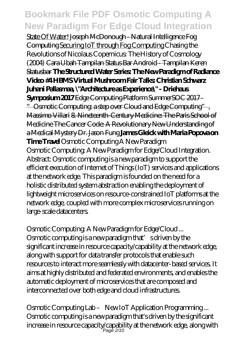State Of Water! Joseph McDonough - Natural Intelligence Fog Computing Securing IoT through Fog Computing *Chasing the Revolutions of Nicolaus Copernicus: The History of Cosmology (2004)* Cara Ubah Tampilan Status Bar Android - Tampilan Keren Statusbar **The Structured Water Series: The New Paradigm of Radiance Video #4 HBMS Virtual Mushroom Fair Talks: Christian Schwarz Juhani Pallasmaa, \"Architecture as Experience\" - Driehaus Symposium 2017** Edge Computing Platform SummerSOC 2017 - " Osmotic Computing: a step over Cloud and Edge Computing", Massimo Villari 8. Nineteenth-Century Medicine: The Paris School of Medicine The Cancer Code: A Revolutionary New Understanding of a Medical Mystery Dr. Jason Fung **James Gleick with Maria Popova on Time Travel** Osmotic Computing A New Paradigm Osmotic Computing: A New Paradigm for Edge/Cloud Integration. Abstract: Osmotic computing is a new paradigm to support the efficient execution of Internet of Things (IoT) services and applications at the network edge. This paradigm is founded on the need for a holistic distributed system abstraction enabling the deployment of lightweight microservices on resource-constrained IoT platforms at the network edge, coupled with more complex microservices running on large-scale datacenters.

Osmotic Computing: A New Paradigm for Edge/Cloud ... Osmotic computing is a new paradigm that' sdriven by the significant increase in resource capacity/capability at the network edge, along with support for data transfer protocols that enable such resources to interact more seamlessly with datacenter-based services. It aims at highly distributed and federated environments, and enables the automatic deployment of microservices that are composed and interconnected over both edge and cloud infrastructures.

Osmotic Computing Lab – New IoT Application Programming ... Osmotic computing is a new paradigm that's driven by the significant increase in resource capacity/capability at the network edge, along with Page 2/10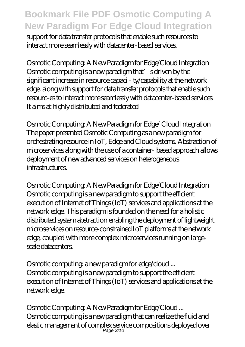support for data transfer protocols that enable such resources to interact more seamlessly with datacenter-based services.

Osmotic Computing: A New Paradigm for Edge/Cloud Integration Osmotic computing is a new paradigm that' sdriven by the significant increase in resource capaci - ty/capability at the network edge, along with support for data transfer protocols that enable such resourc-es to interact more seamlessly with datacenter-based services. It aims at highly distributed and federated

Osmotic Computing: A New Paradigm for Edge/ Cloud Integration The paper presented Osmotic Computing as a new paradigm for orchestrating resource in IoT, Edge and Cloud systems. Abstraction of microservices along with the use of a container- based approach allows deployment of new advanced services on heterogeneous infrastructures.

Osmotic Computing: A New Paradigm for Edge/Cloud Integration Osmotic computing is a new paradigm to support the efficient execution of Internet of Things (IoT) services and applications at the network edge. This paradigm is founded on the need for a holistic distributed system abstraction enabling the deployment of lightweight microservices on resource-constrained IoT platforms at the network edge, coupled with more complex microservices running on largescale datacenters.

Osmotic computing: a new paradigm for edge/cloud ... Osmotic computing is a new paradigm to support the efficient execution of Internet of Things (IoT) services and applications at the network edge.

Osmotic Computing: A New Paradigm for Edge/Cloud ... Osmotic computing is a new paradigm that can realize the fluid and elastic management of complex service compositions deployed over Page 3/10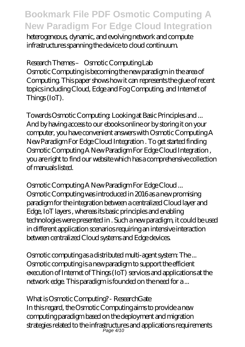heterogeneous, dynamic, and evolving network and compute infrastructures spanning the device to cloud continuum.

Research Themes – Osmotic Computing Lab Osmotic Computing is becoming the new paradigm in the area of Computing. This paper shows how it can represents the glue of recent topics including Cloud, Edge and Fog Computing, and Internet of Things (IoT).

Towards Osmotic Computing: Looking at Basic Principles and ... And by having access to our ebooks online or by storing it on your computer, you have convenient answers with Osmotic Computing A New Paradigm For Edge Cloud Integration . To get started finding Osmotic Computing A New Paradigm For Edge Cloud Integration , you are right to find our website which has a comprehensive collection of manuals listed.

Osmotic Computing A New Paradigm For Edge Cloud ... Osmotic Computing was introduced in 2016 as a new promising paradigm for the integration between a centralized Cloud layer and Edge, IoT layers , whereas its basic principles and enabling technologies were presented in . Such a new paradigm, it could be used in different application scenarios requiring an intensive interaction between centralized Cloud systems and Edge devices.

Osmotic computing as a distributed multi-agent system: The ... Osmotic computing is a new paradigm to support the efficient execution of Internet of Things (IoT) services and applications at the network edge. This paradigm is founded on the need for a ...

What is Osmotic Computing? - ResearchGate In this regard, the Osmotic Computing aims to provide a new computing paradigm based on the deployment and migration strategies related to the infrastructures and applications requirements Page 4/10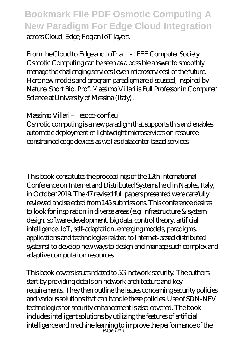### **Bookmark File PDF Osmotic Computing A New Paradigm For Edge Cloud Integration** across Cloud, Edge, Fog an IoT layers.

From the Cloud to Edge and IoT: a ... - IEEE Computer Society Osmotic Computing can be seen as a possible answer to smoothly manage the challenging services (even microservices) of the future. Here new models and program paradigm are discussed, inspired by Nature. Short Bio. Prof. Massimo Villari is Full Professor in Computer Science at University of Messina (Italy).

#### Massimo Villari – esocc-conf.eu

Osmotic computing is a new paradigm that supports this and enables automatic deployment of lightweight microservices on resourceconstrained edge devices as well as datacenter based services.

This book constitutes the proceedings of the 12th International Conference on Internet and Distributed Systems held in Naples, Italy, in October 2019. The 47 revised full papers presented were carefully reviewed and selected from 145 submissions. This conference desires to look for inspiration in diverse areas (e.g. infrastructure & system design, software development, big data, control theory, artificial intelligence, IoT, self-adaptation, emerging models, paradigms, applications and technologies related to Internet-based distributed systems) to develop new ways to design and manage such complex and adaptive computation resources.

This book covers issues related to 5G network security. The authors start by providing details on network architecture and key requirements. They then outline the issues concerning security policies and various solutions that can handle these policies. Use of SDN-NFV technologies for security enhancement is also covered. The book includes intelligent solutions by utilizing the features of artificial intelligence and machine learning to improve the performance of the Page 5/10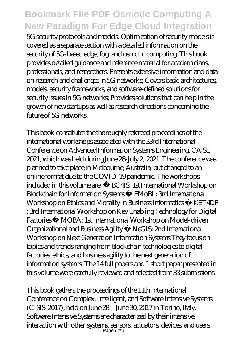5G security protocols and models. Optimization of security models is covered as a separate section with a detailed information on the security of 5G-based edge, fog, and osmotic computing. This book provides detailed guidance and reference material for academicians, professionals, and researchers. Presents extensive information and data on research and challenges in 5G networks; Covers basic architectures, models, security frameworks, and software-defined solutions for security issues in 5G networks; Provides solutions that can help in the growth of new startups as well as research directions concerning the future of 5G networks.

This book constitutes the thoroughly refereed proceedings of the international workshops associated with the 33rd International Conference on Advanced Information Systems Engineering, CAiSE 2021, which was held during June 28-July 2, 2021. The conference was planned to take place in Melbourne, Australia, but changed to an online format due to the COVID-19 pandemic. The workshops included in this volume are: · BC4IS: 1st International Workshop on Blockchain for Information Systems · EMoBI : 3rd International Workshop on Ethics and Morality in Business Informatics · KET4DF : 3rd International Workshop on Key Enabling Technology for Digital Factories · MOBA: 1st International Workshop on Model-driven Organizational and Business Agility · NeGIS: 2nd International Workshop on Next Generation Information Systems They focus on topics and trends ranging from blockchain technologies to digital factories, ethics, and business agility to the next generation of information systems. The 14 full papers and 1 short paper presented in this volume were carefully reviewed and selected from 33 submissions.

This book gathers the proceedings of the 11th International Conference on Complex, Intelligent, and Software Intensive Systems  $(CISIS-2017)$ , held on June  $28-$  June  $30, 2017$  in Torino, Italy. Software Intensive Systems are characterized by their intensive interaction with other systems, sensors, actuators, devices, and users. Page 6/10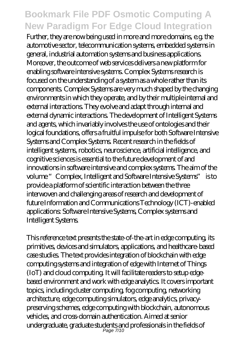Further, they are now being used in more and more domains, e.g. the automotive sector, telecommunication systems, embedded systems in general, industrial automation systems and business applications. Moreover, the outcome of web services delivers a new platform for enabling software intensive systems. Complex Systems research is focused on the understanding of a system as a whole rather than its components. Complex Systems are very much shaped by the changing environments in which they operate, and by their multiple internal and external interactions. They evolve and adapt through internal and external dynamic interactions. The development of Intelligent Systems and agents, which invariably involves the use of ontologies and their logical foundations, offers a fruitful impulse for both Software Intensive Systems and Complex Systems. Recent research in the fields of intelligent systems, robotics, neuroscience, artificial intelligence, and cognitive sciences is essential to the future development of and innovations in software intensive and complex systems. The aim of the volume "Complex, Intelligent and Software Intensive Systems" is to provide a platform of scientific interaction between the three interwoven and challenging areas of research and development of future Information and Communications Technology (ICT)-enabled applications: Software Intensive Systems, Complex systems and Intelligent Systems.

This reference text presents the state-of-the-art in edge computing, its primitives, devices and simulators, applications, and healthcare-based case studies. The text provides integration of blockchain with edge computing systems and integration of edge with Internet of Things (IoT) and cloud computing. It will facilitate readers to setup edgebased environment and work with edge analytics. It covers important topics, including cluster computing, fog computing, networking architecture, edge computing simulators, edge analytics, privacypreserving schemes, edge computing with blockchain, autonomous vehicles, and cross-domain authentication. Aimed at senior undergraduate, graduate students and professionals in the fields of Page 7/10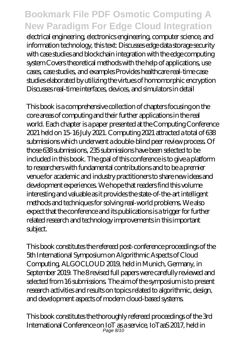electrical engineering, electronics engineering, computer science, and information technology, this text: Discusses edge data storage security with case studies and blockchain integration with the edge computing system Covers theoretical methods with the help of applications, use cases, case studies, and examples Provides healthcare real-time case studies elaborated by utilizing the virtues of homomorphic encryption Discusses real-time interfaces, devices, and simulators in detail

This book is a comprehensive collection of chapters focusing on the core areas of computing and their further applications in the real world. Each chapter is a paper presented at the Computing Conference 2021 held on 15-16 July 2021. Computing 2021 attracted a total of 638 submissions which underwent a double-blind peer review process. Of those 638 submissions, 235 submissions have been selected to be included in this book. The goal of this conference is to give a platform to researchers with fundamental contributions and to be a premier venue for academic and industry practitioners to share new ideas and development experiences. We hope that readers find this volume interesting and valuable as it provides the state-of-the-art intelligent methods and techniques for solving real-world problems. We also expect that the conference and its publications is a trigger for further related research and technology improvements in this important subject.

This book constitutes the refereed post-conference proceedings of the 5th International Symposium on Algorithmic Aspects of Cloud Computing, ALGOCLOUD 2019, held in Munich, Germany, in September 2019. The 8 revised full papers were carefully reviewed and selected from 16 submissions. The aim of the symposium is to present research activities and results on topics related to algorithmic, design, and development aspects of modern cloud-based systems.

This book constitutes the thoroughly refereed proceedings of the 3rd International Conference on IoT as a service, IoTaaS 2017, held in Page 8/10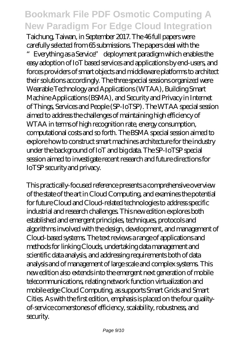Taichung, Taiwan, in September 2017. The 46 full papers were carefully selected from 65 submissions. The papers deal with the Everything as a Service" deployment paradigm which enables the easy adoption of IoT based services and applications by end-users, and forces providers of smart objects and middleware platforms to architect their solutions accordingly. The three special sessions organized were Wearable Technology and Applications (WTAA), Building Smart Machine Applications (BSMA), and Security and Privacy in Internet of Things, Services and People (SP-IoTSP). The WTAA special session aimed to address the challenges of maintaining high efficiency of WTAA in terms of high recognition rate, energy consumption, computational costs and so forth. The BSMA special session aimed to explore how to construct smart machines architecture for the industry under the background of IoT and big data. The SP-IoTSP special session aimed to investigate recent research and future directions for IoTSP security and privacy.

This practically-focused reference presents a comprehensive overview of the state of the art in Cloud Computing, and examines the potential for future Cloud and Cloud-related technologies to address specific industrial and research challenges. This new edition explores both established and emergent principles, techniques, protocols and algorithms involved with the design, development, and management of Cloud-based systems. The text reviews a range of applications and methods for linking Clouds, undertaking data management and scientific data analysis, and addressing requirements both of data analysis and of management of large scale and complex systems. This new edition also extends into the emergent next generation of mobile telecommunications, relating network function virtualization and mobile edge Cloud Computing, as supports Smart Grids and Smart Cities. As with the first edition, emphasis is placed on the four qualityof-service cornerstones of efficiency, scalability, robustness, and security.